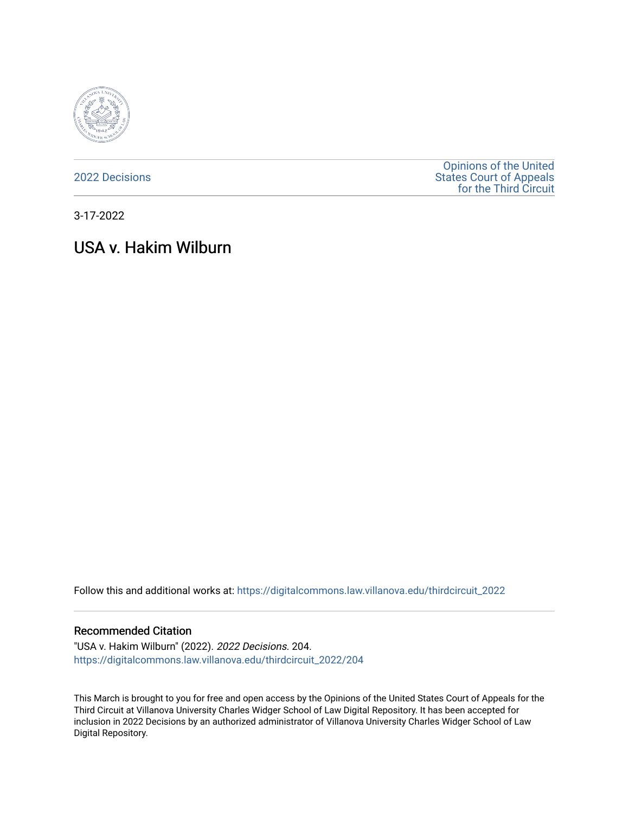

[2022 Decisions](https://digitalcommons.law.villanova.edu/thirdcircuit_2022)

[Opinions of the United](https://digitalcommons.law.villanova.edu/thirdcircuit)  [States Court of Appeals](https://digitalcommons.law.villanova.edu/thirdcircuit)  [for the Third Circuit](https://digitalcommons.law.villanova.edu/thirdcircuit) 

3-17-2022

# USA v. Hakim Wilburn

Follow this and additional works at: [https://digitalcommons.law.villanova.edu/thirdcircuit\\_2022](https://digitalcommons.law.villanova.edu/thirdcircuit_2022?utm_source=digitalcommons.law.villanova.edu%2Fthirdcircuit_2022%2F204&utm_medium=PDF&utm_campaign=PDFCoverPages) 

#### Recommended Citation

"USA v. Hakim Wilburn" (2022). 2022 Decisions. 204. [https://digitalcommons.law.villanova.edu/thirdcircuit\\_2022/204](https://digitalcommons.law.villanova.edu/thirdcircuit_2022/204?utm_source=digitalcommons.law.villanova.edu%2Fthirdcircuit_2022%2F204&utm_medium=PDF&utm_campaign=PDFCoverPages)

This March is brought to you for free and open access by the Opinions of the United States Court of Appeals for the Third Circuit at Villanova University Charles Widger School of Law Digital Repository. It has been accepted for inclusion in 2022 Decisions by an authorized administrator of Villanova University Charles Widger School of Law Digital Repository.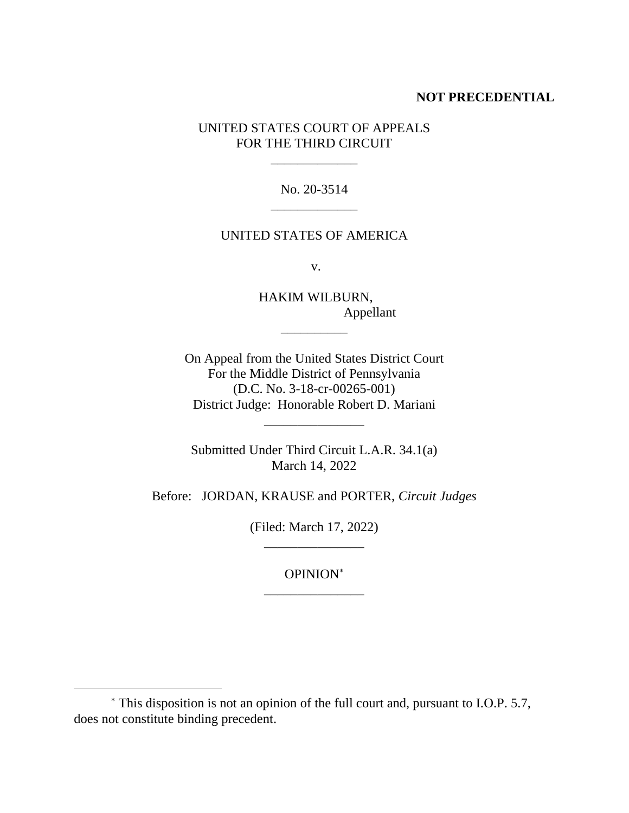# **NOT PRECEDENTIAL**

UNITED STATES COURT OF APPEALS FOR THE THIRD CIRCUIT

> No. 20-3514 \_\_\_\_\_\_\_\_\_\_\_\_\_

> \_\_\_\_\_\_\_\_\_\_\_\_\_

## UNITED STATES OF AMERICA

v.

HAKIM WILBURN, Appellant

On Appeal from the United States District Court For the Middle District of Pennsylvania (D.C. No. 3-18-cr-00265-001) District Judge: Honorable Robert D. Mariani

\_\_\_\_\_\_\_\_\_\_\_\_\_\_\_

\_\_\_\_\_\_\_\_\_\_

Submitted Under Third Circuit L.A.R. 34.1(a) March 14, 2022

Before: JORDAN, KRAUSE and PORTER, *Circuit Judges*

(Filed: March 17, 2022) \_\_\_\_\_\_\_\_\_\_\_\_\_\_\_

> OPINION \_\_\_\_\_\_\_\_\_\_\_\_\_\_\_

This disposition is not an opinion of the full court and, pursuant to I.O.P. 5.7, does not constitute binding precedent.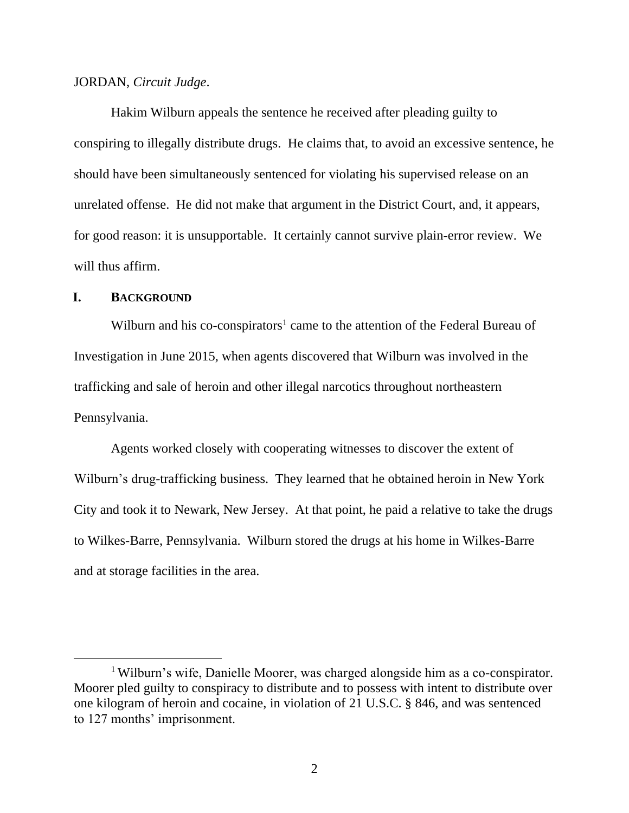#### JORDAN, *Circuit Judge*.

Hakim Wilburn appeals the sentence he received after pleading guilty to conspiring to illegally distribute drugs. He claims that, to avoid an excessive sentence, he should have been simultaneously sentenced for violating his supervised release on an unrelated offense. He did not make that argument in the District Court, and, it appears, for good reason: it is unsupportable. It certainly cannot survive plain-error review. We will thus affirm.

## **I. BACKGROUND**

Wilburn and his co-conspirators<sup>1</sup> came to the attention of the Federal Bureau of Investigation in June 2015, when agents discovered that Wilburn was involved in the trafficking and sale of heroin and other illegal narcotics throughout northeastern Pennsylvania.

Agents worked closely with cooperating witnesses to discover the extent of Wilburn's drug-trafficking business. They learned that he obtained heroin in New York City and took it to Newark, New Jersey. At that point, he paid a relative to take the drugs to Wilkes-Barre, Pennsylvania. Wilburn stored the drugs at his home in Wilkes-Barre and at storage facilities in the area.

<sup>&</sup>lt;sup>1</sup> Wilburn's wife, Danielle Moorer, was charged alongside him as a co-conspirator. Moorer pled guilty to conspiracy to distribute and to possess with intent to distribute over one kilogram of heroin and cocaine, in violation of 21 U.S.C. § 846, and was sentenced to 127 months' imprisonment.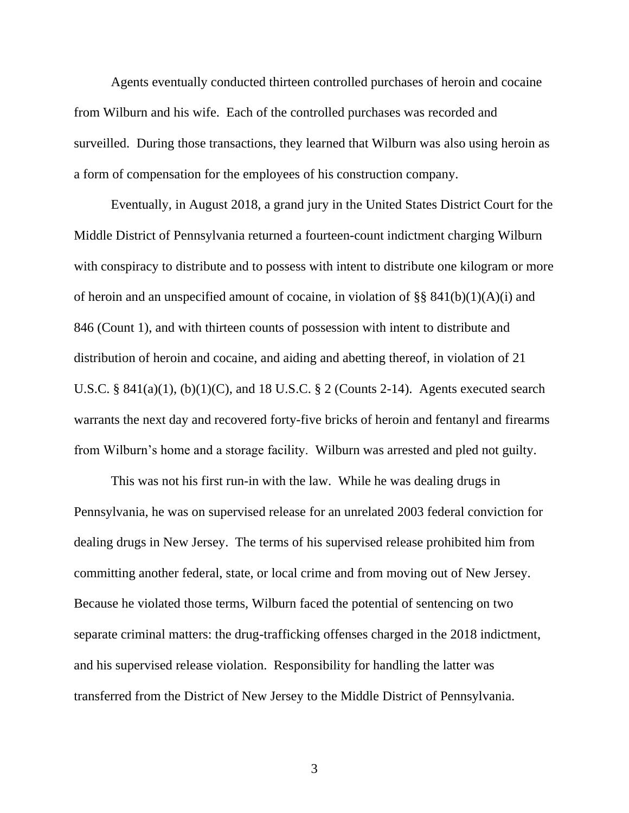Agents eventually conducted thirteen controlled purchases of heroin and cocaine from Wilburn and his wife. Each of the controlled purchases was recorded and surveilled. During those transactions, they learned that Wilburn was also using heroin as a form of compensation for the employees of his construction company.

Eventually, in August 2018, a grand jury in the United States District Court for the Middle District of Pennsylvania returned a fourteen-count indictment charging Wilburn with conspiracy to distribute and to possess with intent to distribute one kilogram or more of heroin and an unspecified amount of cocaine, in violation of §§  $841(b)(1)(A)(i)$  and 846 (Count 1), and with thirteen counts of possession with intent to distribute and distribution of heroin and cocaine, and aiding and abetting thereof, in violation of 21 U.S.C. §  $841(a)(1)$ ,  $(b)(1)(C)$ , and 18 U.S.C. § 2 (Counts 2-14). Agents executed search warrants the next day and recovered forty-five bricks of heroin and fentanyl and firearms from Wilburn's home and a storage facility. Wilburn was arrested and pled not guilty.

This was not his first run-in with the law. While he was dealing drugs in Pennsylvania, he was on supervised release for an unrelated 2003 federal conviction for dealing drugs in New Jersey. The terms of his supervised release prohibited him from committing another federal, state, or local crime and from moving out of New Jersey. Because he violated those terms, Wilburn faced the potential of sentencing on two separate criminal matters: the drug-trafficking offenses charged in the 2018 indictment, and his supervised release violation. Responsibility for handling the latter was transferred from the District of New Jersey to the Middle District of Pennsylvania.

3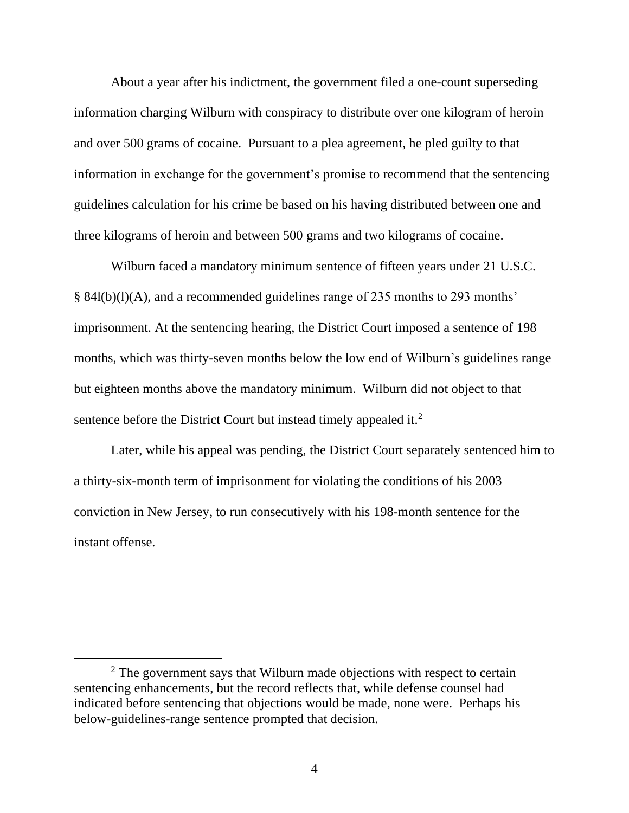About a year after his indictment, the government filed a one-count superseding information charging Wilburn with conspiracy to distribute over one kilogram of heroin and over 500 grams of cocaine. Pursuant to a plea agreement, he pled guilty to that information in exchange for the government's promise to recommend that the sentencing guidelines calculation for his crime be based on his having distributed between one and three kilograms of heroin and between 500 grams and two kilograms of cocaine.

Wilburn faced a mandatory minimum sentence of fifteen years under 21 U.S.C. § 84l(b)(l)(A), and a recommended guidelines range of 235 months to 293 months' imprisonment. At the sentencing hearing, the District Court imposed a sentence of 198 months, which was thirty-seven months below the low end of Wilburn's guidelines range but eighteen months above the mandatory minimum. Wilburn did not object to that sentence before the District Court but instead timely appealed it.<sup>2</sup>

Later, while his appeal was pending, the District Court separately sentenced him to a thirty-six-month term of imprisonment for violating the conditions of his 2003 conviction in New Jersey, to run consecutively with his 198-month sentence for the instant offense.

 $2$  The government says that Wilburn made objections with respect to certain sentencing enhancements, but the record reflects that, while defense counsel had indicated before sentencing that objections would be made, none were. Perhaps his below-guidelines-range sentence prompted that decision.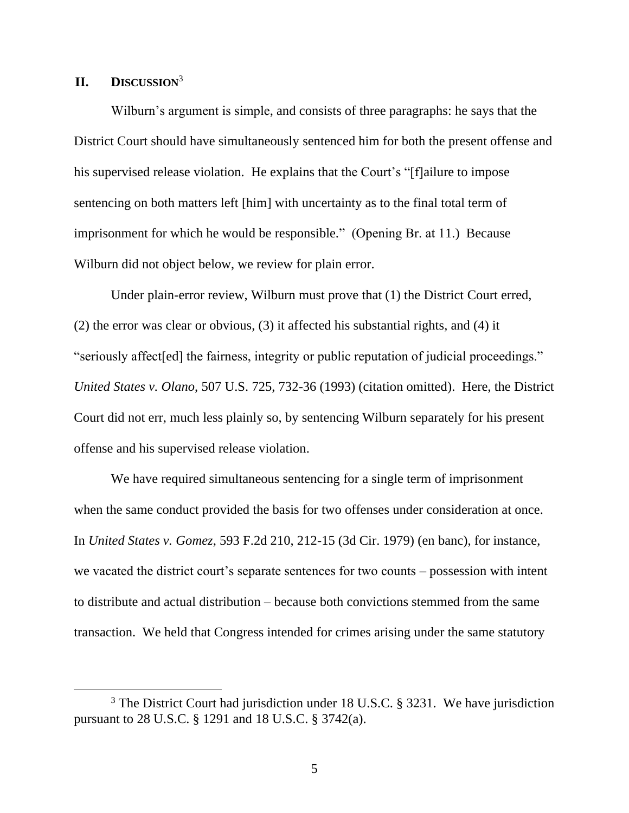# **II. DISCUSSION**<sup>3</sup>

Wilburn's argument is simple, and consists of three paragraphs: he says that the District Court should have simultaneously sentenced him for both the present offense and his supervised release violation. He explains that the Court's "[f]ailure to impose sentencing on both matters left [him] with uncertainty as to the final total term of imprisonment for which he would be responsible." (Opening Br. at 11.) Because Wilburn did not object below, we review for plain error.

Under plain-error review, Wilburn must prove that (1) the District Court erred, (2) the error was clear or obvious, (3) it affected his substantial rights, and (4) it "seriously affect[ed] the fairness, integrity or public reputation of judicial proceedings." *United States v. Olano*, 507 U.S. 725, 732-36 (1993) (citation omitted). Here, the District Court did not err, much less plainly so, by sentencing Wilburn separately for his present offense and his supervised release violation.

We have required simultaneous sentencing for a single term of imprisonment when the same conduct provided the basis for two offenses under consideration at once. In *United States v. Gomez*, 593 F.2d 210, 212-15 (3d Cir. 1979) (en banc), for instance, we vacated the district court's separate sentences for two counts – possession with intent to distribute and actual distribution – because both convictions stemmed from the same transaction. We held that Congress intended for crimes arising under the same statutory

<sup>&</sup>lt;sup>3</sup> The District Court had jurisdiction under 18 U.S.C. § 3231. We have jurisdiction pursuant to 28 U.S.C. § 1291 and 18 U.S.C. § 3742(a).